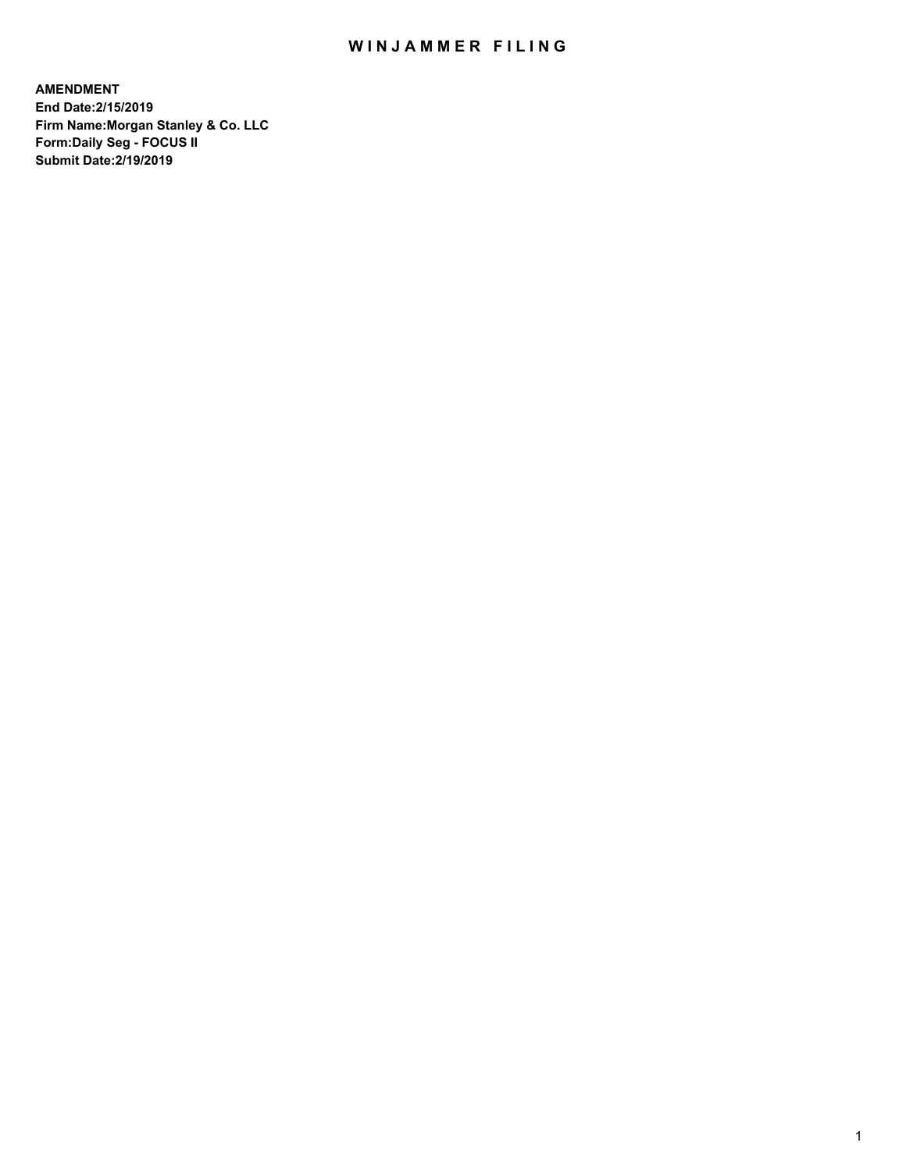## WIN JAMMER FILING

**AMENDMENT End Date:2/15/2019 Firm Name:Morgan Stanley & Co. LLC Form:Daily Seg - FOCUS II Submit Date:2/19/2019**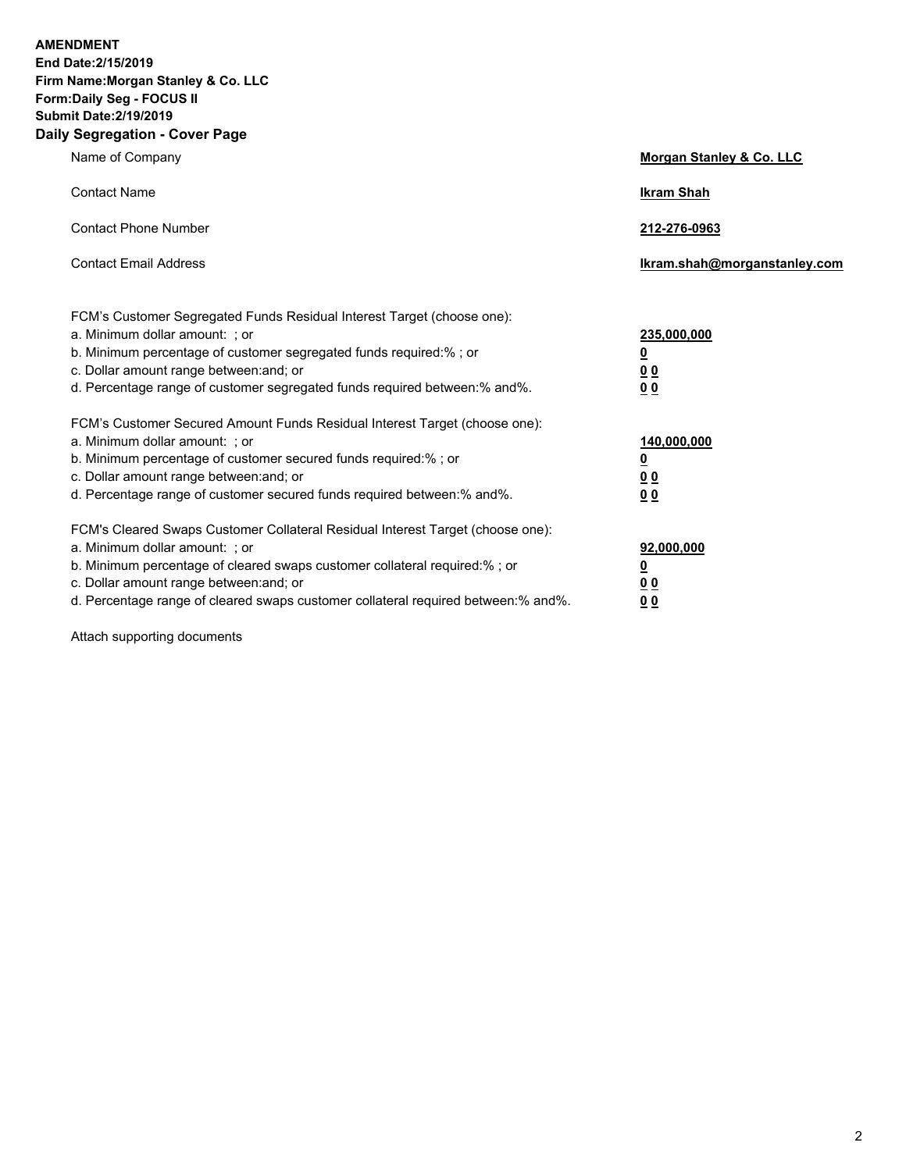**AMENDMENT End Date:2/15/2019 Firm Name:Morgan Stanley & Co. LLC Form:Daily Seg - FOCUS II Submit Date:2/19/2019 Daily Segregation - Cover Page**

| Name of Company                                                                                                                                                                                                                                                                                                               | Morgan Stanley & Co. LLC                                    |
|-------------------------------------------------------------------------------------------------------------------------------------------------------------------------------------------------------------------------------------------------------------------------------------------------------------------------------|-------------------------------------------------------------|
| <b>Contact Name</b>                                                                                                                                                                                                                                                                                                           | <b>Ikram Shah</b>                                           |
| <b>Contact Phone Number</b>                                                                                                                                                                                                                                                                                                   | 212-276-0963                                                |
| <b>Contact Email Address</b>                                                                                                                                                                                                                                                                                                  | Ikram.shah@morganstanley.com                                |
| FCM's Customer Segregated Funds Residual Interest Target (choose one):<br>a. Minimum dollar amount: ; or<br>b. Minimum percentage of customer segregated funds required:% ; or<br>c. Dollar amount range between: and; or<br>d. Percentage range of customer segregated funds required between:% and%.                        | 235,000,000<br><u>0</u><br>00<br><u>00</u>                  |
| FCM's Customer Secured Amount Funds Residual Interest Target (choose one):<br>a. Minimum dollar amount: ; or<br>b. Minimum percentage of customer secured funds required:%; or<br>c. Dollar amount range between: and; or<br>d. Percentage range of customer secured funds required between:% and%.                           | 140,000,000<br><u>0</u><br>0 <sub>0</sub><br>0 <sup>0</sup> |
| FCM's Cleared Swaps Customer Collateral Residual Interest Target (choose one):<br>a. Minimum dollar amount: ; or<br>b. Minimum percentage of cleared swaps customer collateral required:%; or<br>c. Dollar amount range between: and; or<br>d. Percentage range of cleared swaps customer collateral required between:% and%. | 92,000,000<br><u>0</u><br><u>00</u><br>00                   |

Attach supporting documents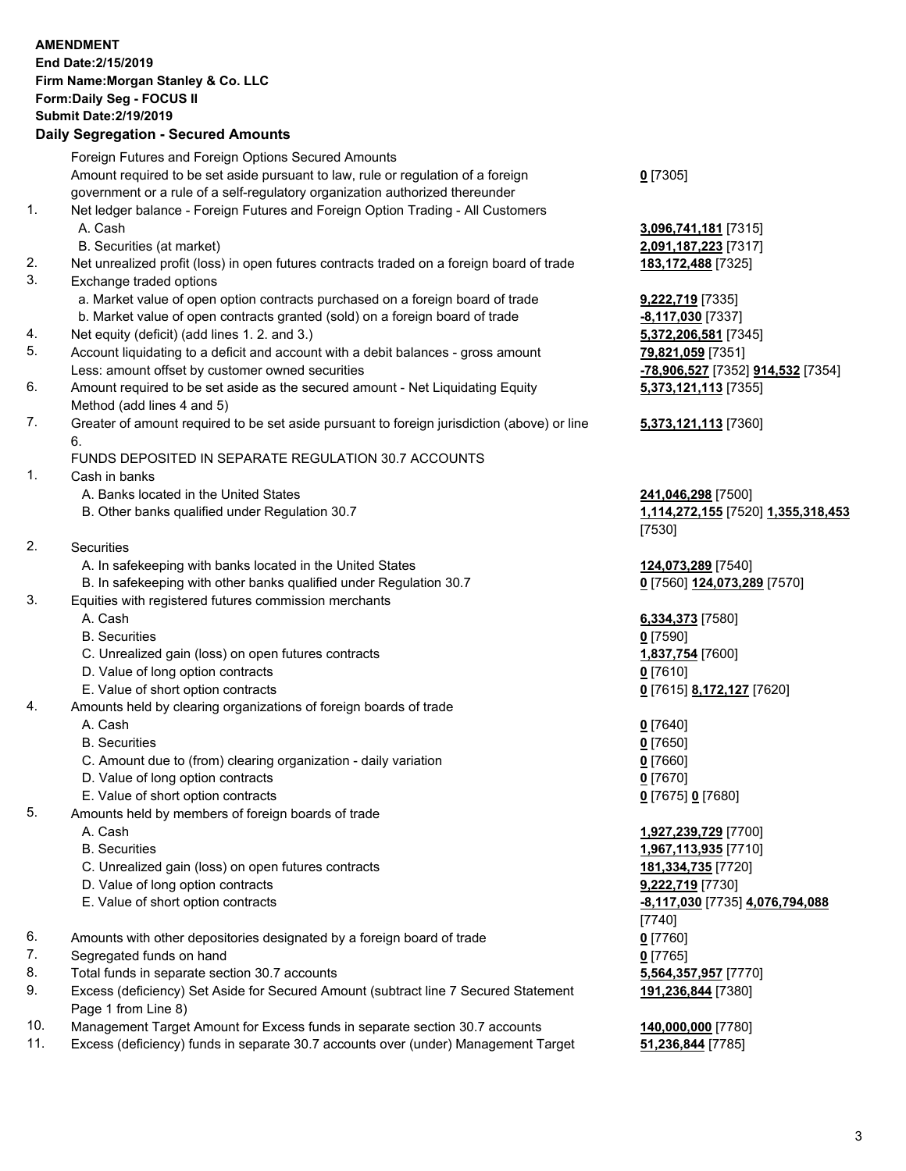## **AMENDMENT End Date:2/15/2019 Firm Name:Morgan Stanley & Co. LLC Form:Daily Seg - FOCUS II Submit Date:2/19/2019 Daily Segregation - Secured Amounts** Foreign Futures and Foreign Options Secured Amounts Amount required to be set aside pursuant to law, rule or regulation of a foreign government or a rule of a self-regulatory organization authorized thereunder **0** [7305] 1. Net ledger balance - Foreign Futures and Foreign Option Trading - All Customers A. Cash **3,096,741,181** [7315] B. Securities (at market) **2,091,187,223** [7317] 2. Net unrealized profit (loss) in open futures contracts traded on a foreign board of trade **183,172,488** [7325] 3. Exchange traded options a. Market value of open option contracts purchased on a foreign board of trade **9,222,719** [7335] b. Market value of open contracts granted (sold) on a foreign board of trade **-8,117,030** [7337] 4. Net equity (deficit) (add lines 1. 2. and 3.) **5,372,206,581** [7345] 5. Account liquidating to a deficit and account with a debit balances - gross amount **79,821,059** [7351] Less: amount offset by customer owned securities **-78,906,527** [7352] **914,532** [7354] 6. Amount required to be set aside as the secured amount - Net Liquidating Equity Method (add lines 4 and 5) **5,373,121,113** [7355] 7. Greater of amount required to be set aside pursuant to foreign jurisdiction (above) or line 6. **5,373,121,113** [7360] FUNDS DEPOSITED IN SEPARATE REGULATION 30.7 ACCOUNTS 1. Cash in banks A. Banks located in the United States **241,046,298** [7500] B. Other banks qualified under Regulation 30.7 **1,114,272,155** [7520] **1,355,318,453** [7530] 2. Securities A. In safekeeping with banks located in the United States **124,073,289** [7540] B. In safekeeping with other banks qualified under Regulation 30.7 **0** [7560] **124,073,289** [7570] 3. Equities with registered futures commission merchants A. Cash **6,334,373** [7580] B. Securities **0** [7590] C. Unrealized gain (loss) on open futures contracts **1,837,754** [7600] D. Value of long option contracts **0** [7610] E. Value of short option contracts **0** [7615] **8,172,127** [7620] 4. Amounts held by clearing organizations of foreign boards of trade A. Cash **0** [7640] B. Securities **0** [7650] C. Amount due to (from) clearing organization - daily variation **0** [7660] D. Value of long option contracts **0** [7670] E. Value of short option contracts **0** [7675] **0** [7680] 5. Amounts held by members of foreign boards of trade A. Cash **1,927,239,729** [7700] B. Securities **1,967,113,935** [7710] C. Unrealized gain (loss) on open futures contracts **181,334,735** [7720] D. Value of long option contracts **9,222,719** [7730] E. Value of short option contracts **-8,117,030** [7735] **4,076,794,088**

- 6. Amounts with other depositories designated by a foreign board of trade **0** [7760]
- 7. Segregated funds on hand **0** [7765]
- 8. Total funds in separate section 30.7 accounts **5,564,357,957** [7770]
- 9. Excess (deficiency) Set Aside for Secured Amount (subtract line 7 Secured Statement Page 1 from Line 8)
- 10. Management Target Amount for Excess funds in separate section 30.7 accounts **140,000,000** [7780]
- 11. Excess (deficiency) funds in separate 30.7 accounts over (under) Management Target **51,236,844** [7785]

[7740]

**191,236,844** [7380]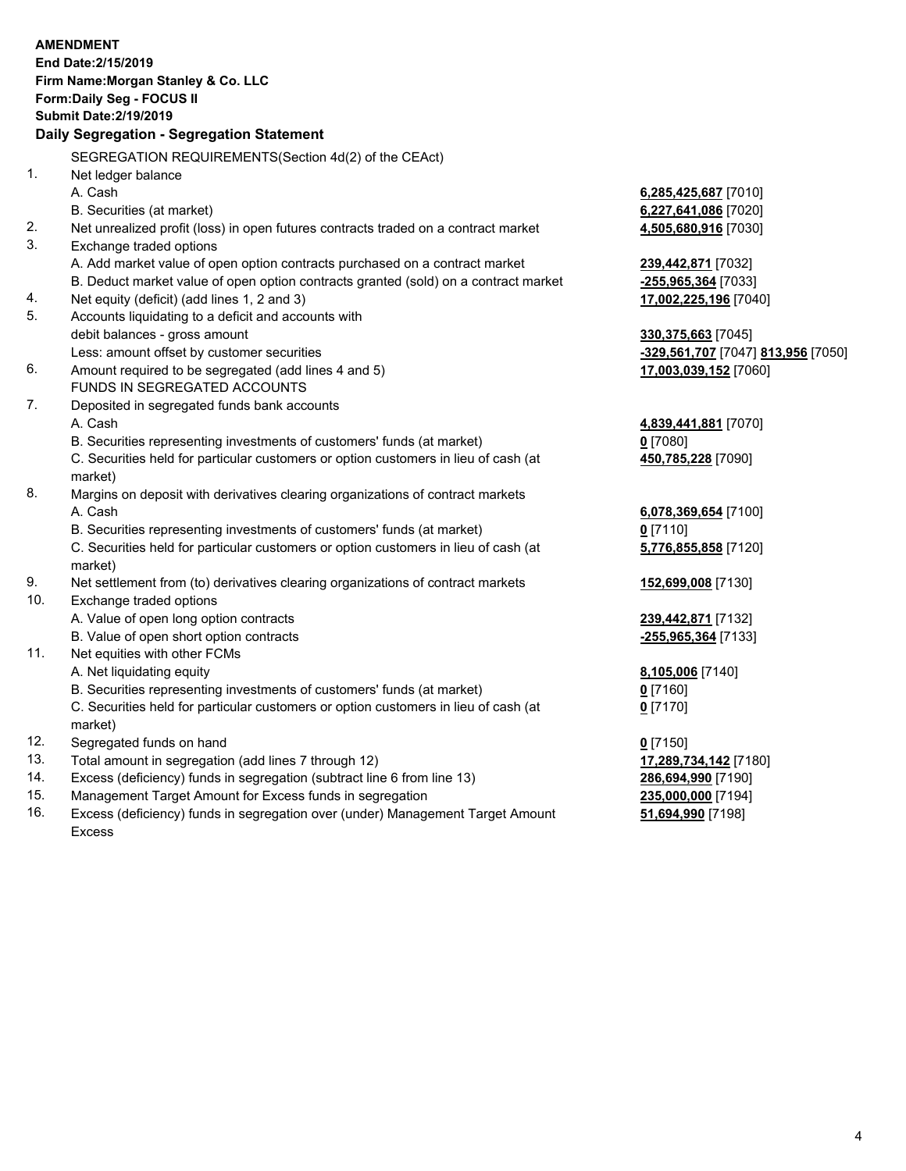|                | <b>AMENDMENT</b>                                                                               |                       |
|----------------|------------------------------------------------------------------------------------------------|-----------------------|
|                | End Date: 2/15/2019                                                                            |                       |
|                | Firm Name: Morgan Stanley & Co. LLC                                                            |                       |
|                | Form: Daily Seg - FOCUS II<br><b>Submit Date: 2/19/2019</b>                                    |                       |
|                | Daily Segregation - Segregation Statement                                                      |                       |
|                |                                                                                                |                       |
|                | SEGREGATION REQUIREMENTS(Section 4d(2) of the CEAct)                                           |                       |
| $\mathbf{1}$ . | Net ledger balance                                                                             |                       |
|                | A. Cash                                                                                        | 6,285,425,687 [7010]  |
|                | B. Securities (at market)                                                                      | 6,227,641,086 [7020]  |
| 2.             | Net unrealized profit (loss) in open futures contracts traded on a contract market             | 4,505,680,916 [7030]  |
| 3.             | Exchange traded options                                                                        |                       |
|                | A. Add market value of open option contracts purchased on a contract market                    | 239,442,871 [7032]    |
|                | B. Deduct market value of open option contracts granted (sold) on a contract market            | -255,965,364 [7033]   |
| 4.             | Net equity (deficit) (add lines 1, 2 and 3)                                                    | 17,002,225,196 [7040] |
| 5.             | Accounts liquidating to a deficit and accounts with                                            |                       |
|                | debit balances - gross amount                                                                  | 330, 375, 663 [7045]  |
|                | Less: amount offset by customer securities                                                     | -329,561,707 [7047] 8 |
| 6.             | Amount required to be segregated (add lines 4 and 5)                                           | 17,003,039,152 [7060] |
|                | FUNDS IN SEGREGATED ACCOUNTS                                                                   |                       |
| 7.             | Deposited in segregated funds bank accounts                                                    |                       |
|                | A. Cash                                                                                        | 4,839,441,881 [7070]  |
|                | B. Securities representing investments of customers' funds (at market)                         | $0$ [7080]            |
|                | C. Securities held for particular customers or option customers in lieu of cash (at<br>market) | 450,785,228 [7090]    |
| 8.             | Margins on deposit with derivatives clearing organizations of contract markets                 |                       |
|                | A. Cash                                                                                        | 6,078,369,654 [7100]  |
|                | B. Securities representing investments of customers' funds (at market)                         | $0$ [7110]            |
|                | C. Securities held for particular customers or option customers in lieu of cash (at<br>market) | 5,776,855,858 [7120]  |
| 9.             | Net settlement from (to) derivatives clearing organizations of contract markets                | 152,699,008 [7130]    |
| 10.            | Exchange traded options                                                                        |                       |
|                | A. Value of open long option contracts                                                         | 239,442,871 [7132]    |
|                | B. Value of open short option contracts                                                        | -255,965,364 [7133]   |
| 11.            | Net equities with other FCMs                                                                   |                       |
|                | A. Net liquidating equity                                                                      | 8,105,006 [7140]      |
|                | B. Securities representing investments of customers' funds (at market)                         | $0$ [7160]            |

- market)
- 12. Segregated funds on hand **0** [7150]
- 13. Total amount in segregation (add lines 7 through 12) **17,289,734,142** [7180]
- 14. Excess (deficiency) funds in segregation (subtract line 6 from line 13) **286,694,990** [7190]
- 15. Management Target Amount for Excess funds in segregation **235,000,000** [7194]
- 16. Excess (deficiency) funds in segregation over (under) Management Target Amount Excess

C. Securities held for particular customers or option customers in lieu of cash (at

Less: amount offset by customer securities **-329,561,707** [7047] **813,956** [7050]

**0** [7170]

**51,694,990** [7198]